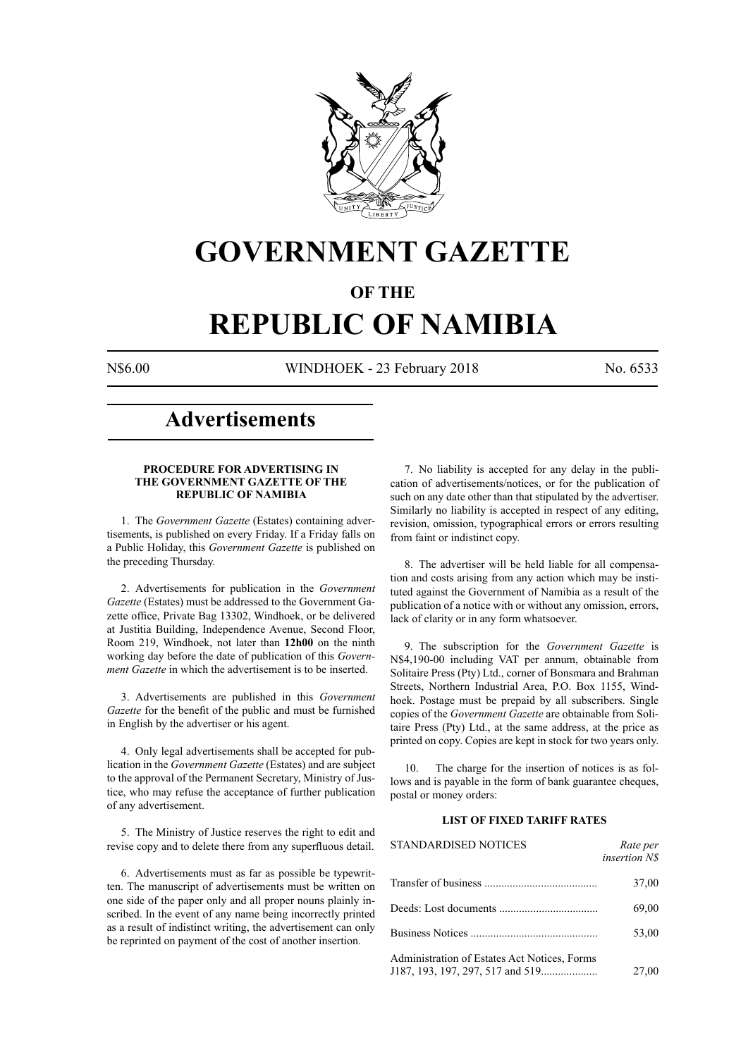

# **GOVERNMENT GAZETTE**

# **OF THE**

# **REPUBLIC OF NAMIBIA**

N\$6.00 WINDHOEK - 23 February 2018 No. 6533

# **Advertisements**

#### **PROCEDURE FOR ADVERTISING IN THE GOVERNMENT GAZETTE OF THE REPUBLIC OF NAMIBIA**

1. The *Government Gazette* (Estates) containing advertisements, is published on every Friday. If a Friday falls on a Public Holiday, this *Government Gazette* is published on the preceding Thursday.

2. Advertisements for publication in the *Government Gazette* (Estates) must be addressed to the Government Gazette office, Private Bag 13302, Windhoek, or be delivered at Justitia Building, Independence Avenue, Second Floor, Room 219, Windhoek, not later than **12h00** on the ninth working day before the date of publication of this *Government Gazette* in which the advertisement is to be inserted.

3. Advertisements are published in this *Government Gazette* for the benefit of the public and must be furnished in English by the advertiser or his agent.

4. Only legal advertisements shall be accepted for publication in the *Government Gazette* (Estates) and are subject to the approval of the Permanent Secretary, Ministry of Justice, who may refuse the acceptance of further publication of any advertisement.

5. The Ministry of Justice reserves the right to edit and revise copy and to delete there from any superfluous detail.

6. Advertisements must as far as possible be typewritten. The manuscript of advertisements must be written on one side of the paper only and all proper nouns plainly inscribed. In the event of any name being incorrectly printed as a result of indistinct writing, the advertisement can only be reprinted on payment of the cost of another insertion.

7. No liability is accepted for any delay in the publication of advertisements/notices, or for the publication of such on any date other than that stipulated by the advertiser. Similarly no liability is accepted in respect of any editing, revision, omission, typographical errors or errors resulting from faint or indistinct copy.

8. The advertiser will be held liable for all compensation and costs arising from any action which may be instituted against the Government of Namibia as a result of the publication of a notice with or without any omission, errors, lack of clarity or in any form whatsoever.

9. The subscription for the *Government Gazette* is N\$4,190-00 including VAT per annum, obtainable from Solitaire Press (Pty) Ltd., corner of Bonsmara and Brahman Streets, Northern Industrial Area, P.O. Box 1155, Windhoek. Postage must be prepaid by all subscribers. Single copies of the *Government Gazette* are obtainable from Solitaire Press (Pty) Ltd., at the same address, at the price as printed on copy. Copies are kept in stock for two years only.

10. The charge for the insertion of notices is as follows and is payable in the form of bank guarantee cheques, postal or money orders:

# **LIST OF FIXED TARIFF RATES**

| <b>STANDARDISED NOTICES</b>                  | Rate per<br><i>insertion NS</i> |
|----------------------------------------------|---------------------------------|
|                                              | 37,00                           |
|                                              | 69,00                           |
|                                              | 53,00                           |
| Administration of Estates Act Notices, Forms | 27,00                           |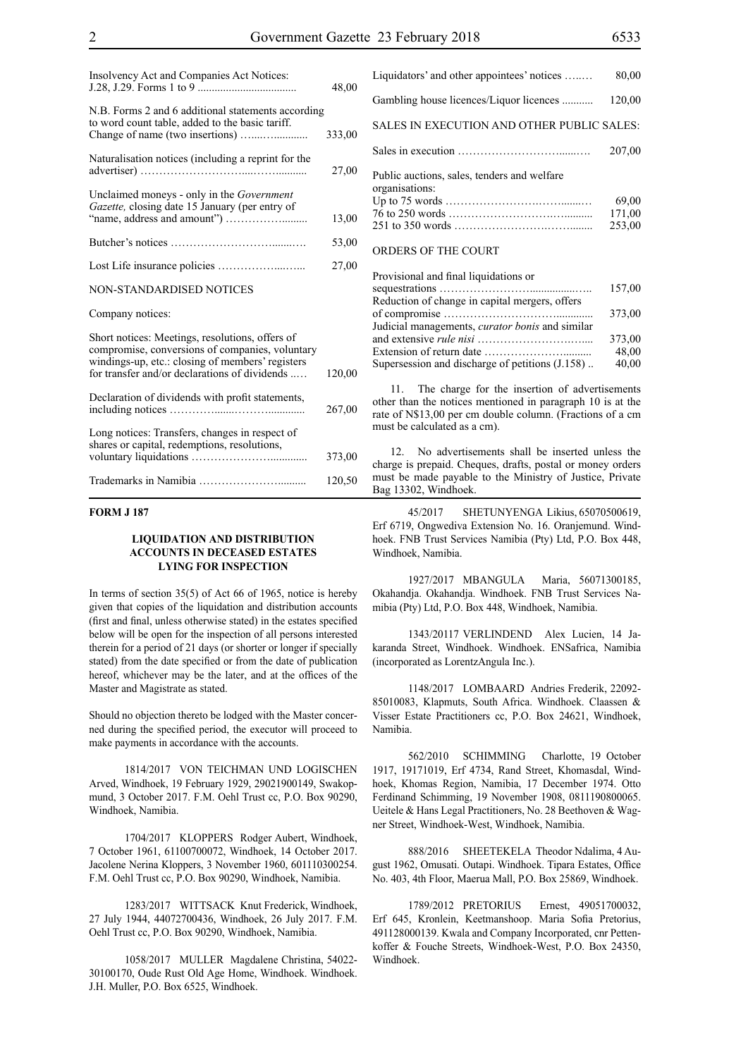| Insolvency Act and Companies Act Notices:                                                                                                                                                               | 48,00  |
|---------------------------------------------------------------------------------------------------------------------------------------------------------------------------------------------------------|--------|
| N.B. Forms 2 and 6 additional statements according<br>to word count table, added to the basic tariff.                                                                                                   | 333,00 |
| Naturalisation notices (including a reprint for the                                                                                                                                                     | 27,00  |
| Unclaimed moneys - only in the Government<br>Gazette, closing date 15 January (per entry of                                                                                                             | 13,00  |
|                                                                                                                                                                                                         | 53,00  |
|                                                                                                                                                                                                         | 27,00  |
| NON-STANDARDISED NOTICES                                                                                                                                                                                |        |
| Company notices:                                                                                                                                                                                        |        |
| Short notices: Meetings, resolutions, offers of<br>compromise, conversions of companies, voluntary<br>windings-up, etc.: closing of members' registers<br>for transfer and/or declarations of dividends | 120,00 |
| Declaration of dividends with profit statements,                                                                                                                                                        | 267,00 |
| Long notices: Transfers, changes in respect of<br>shares or capital, redemptions, resolutions,                                                                                                          | 373,00 |
|                                                                                                                                                                                                         | 120,50 |

#### **FORM J 187**

#### **LIQUIDATION AND DISTRIBUTION ACCOUNTS IN DECEASED ESTATES LYING FOR INSPECTION**

In terms of section 35(5) of Act 66 of 1965, notice is hereby given that copies of the liquidation and distribution accounts (first and final, unless otherwise stated) in the estates specified below will be open for the inspection of all persons interested therein for a period of 21 days (or shorter or longer if specially stated) from the date specified or from the date of publication hereof, whichever may be the later, and at the offices of the Master and Magistrate as stated.

Should no objection thereto be lodged with the Master concerned during the specified period, the executor will proceed to make payments in accordance with the accounts.

1814/2017 VON TEICHMAN UND LOGISCHEN Arved, Windhoek, 19 February 1929, 29021900149, Swakopmund, 3 October 2017. F.M. Oehl Trust cc, P.O. Box 90290, Windhoek, Namibia.

1704/2017 KLOPPERS Rodger Aubert, Windhoek, 7 October 1961, 61100700072, Windhoek, 14 October 2017. Jacolene Nerina Kloppers, 3 November 1960, 601110300254. F.M. Oehl Trust cc, P.O. Box 90290, Windhoek, Namibia.

1283/2017 WITTSACK Knut Frederick, Windhoek, 27 July 1944, 44072700436, Windhoek, 26 July 2017. F.M. Oehl Trust cc, P.O. Box 90290, Windhoek, Namibia.

1058/2017 MULLER Magdalene Christina, 54022- 30100170, Oude Rust Old Age Home, Windhoek. Windhoek. J.H. Muller, P.O. Box 6525, Windhoek.

| Liquidators' and other appointees' notices                    | 80,00                     |
|---------------------------------------------------------------|---------------------------|
| Gambling house licences/Liquor licences                       | 120,00                    |
| SALES IN EXECUTION AND OTHER PUBLIC SALES:                    |                           |
|                                                               | 207,00                    |
| Public auctions, sales, tenders and welfare<br>organisations: | 69,00<br>171,00<br>253,00 |
| ORDERS OF THE COURT                                           |                           |
| .                                                             |                           |

| Provisional and final liquidations or                  |        |
|--------------------------------------------------------|--------|
|                                                        | 157,00 |
| Reduction of change in capital mergers, offers         |        |
|                                                        | 373,00 |
| Judicial managements, <i>curator bonis</i> and similar |        |
|                                                        | 373,00 |
|                                                        | 48.00  |
| Supersession and discharge of petitions (J.158)        | 40,00  |
|                                                        |        |

11. The charge for the insertion of advertisements other than the notices mentioned in paragraph 10 is at the rate of N\$13,00 per cm double column. (Fractions of a cm must be calculated as a cm).

12. No advertisements shall be inserted unless the charge is prepaid. Cheques, drafts, postal or money orders must be made payable to the Ministry of Justice, Private Bag 13302, Windhoek.

45/2017 SHETUNYENGA Likius, 65070500619, Erf 6719, Ongwediva Extension No. 16. Oranjemund. Windhoek. FNB Trust Services Namibia (Pty) Ltd, P.O. Box 448, Windhoek, Namibia.

1927/2017 MBANGULA Maria, 56071300185, Okahandja. Okahandja. Windhoek. FNB Trust Services Namibia (Pty) Ltd, P.O. Box 448, Windhoek, Namibia.

1343/20117 VERLINDEND Alex Lucien, 14 Jakaranda Street, Windhoek. Windhoek. ENSafrica, Namibia (incorporated as LorentzAngula Inc.).

1148/2017 LOMBAARD Andries Frederik, 22092- 85010083, Klapmuts, South Africa. Windhoek. Claassen & Visser Estate Practitioners cc, P.O. Box 24621, Windhoek, Namibia.

562/2010 SCHIMMING Charlotte, 19 October 1917, 19171019, Erf 4734, Rand Street, Khomasdal, Windhoek, Khomas Region, Namibia, 17 December 1974. Otto Ferdinand Schimming, 19 November 1908, 0811190800065. Ueitele & Hans Legal Practitioners, No. 28 Beethoven & Wagner Street, Windhoek-West, Windhoek, Namibia.

888/2016 SHEETEKELA Theodor Ndalima, 4 August 1962, Omusati. Outapi. Windhoek. Tipara Estates, Office No. 403, 4th Floor, Maerua Mall, P.O. Box 25869, Windhoek.

1789/2012 PRETORIUS Ernest, 49051700032, Erf 645, Kronlein, Keetmanshoop. Maria Sofia Pretorius, 491128000139. Kwala and Company Incorporated, cnr Pettenkoffer & Fouche Streets, Windhoek-West, P.O. Box 24350, Windhoek.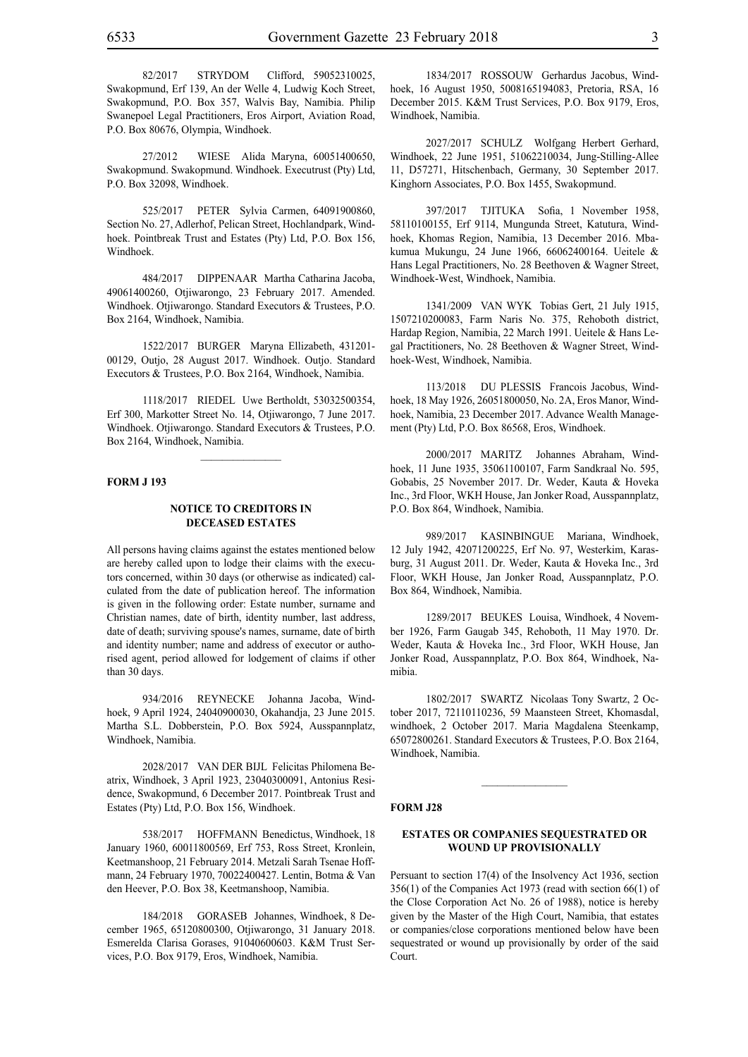82/2017 STRYDOM Clifford, 59052310025, Swakopmund, Erf 139, An der Welle 4, Ludwig Koch Street, Swakopmund, P.O. Box 357, Walvis Bay, Namibia. Philip Swanepoel Legal Practitioners, Eros Airport, Aviation Road, P.O. Box 80676, Olympia, Windhoek.

27/2012 WIESE Alida Maryna, 60051400650, Swakopmund. Swakopmund. Windhoek. Executrust (Pty) Ltd, P.O. Box 32098, Windhoek.

525/2017 PETER Sylvia Carmen, 64091900860, Section No. 27, Adlerhof, Pelican Street, Hochlandpark, Windhoek. Pointbreak Trust and Estates (Pty) Ltd, P.O. Box 156, Windhoek.

484/2017 DIPPENAAR Martha Catharina Jacoba, 49061400260, Otjiwarongo, 23 February 2017. Amended. Windhoek. Otjiwarongo. Standard Executors & Trustees, P.O. Box 2164, Windhoek, Namibia.

1522/2017 BURGER Maryna Ellizabeth, 431201- 00129, Outjo, 28 August 2017. Windhoek. Outjo. Standard Executors & Trustees, P.O. Box 2164, Windhoek, Namibia.

1118/2017 RIEDEL Uwe Bertholdt, 53032500354, Erf 300, Markotter Street No. 14, Otjiwarongo, 7 June 2017. Windhoek. Otjiwarongo. Standard Executors & Trustees, P.O. Box 2164, Windhoek, Namibia.

 $\frac{1}{2}$ 

#### **FORM J 193**

#### **NOTICE TO CREDITORS IN DECEASED ESTATES**

All persons having claims against the estates mentioned below are hereby called upon to lodge their claims with the executors concerned, within 30 days (or otherwise as indicated) calculated from the date of publication hereof. The information is given in the following order: Estate number, surname and Christian names, date of birth, identity number, last address, date of death; surviving spouse's names, surname, date of birth and identity number; name and address of executor or authorised agent, period allowed for lodgement of claims if other than 30 days.

934/2016 REYNECKE Johanna Jacoba, Windhoek, 9 April 1924, 24040900030, Okahandja, 23 June 2015. Martha S.L. Dobberstein, P.O. Box 5924, Ausspannplatz, Windhoek, Namibia.

2028/2017 VAN DER BIJL Felicitas Philomena Beatrix, Windhoek, 3 April 1923, 23040300091, Antonius Residence, Swakopmund, 6 December 2017. Pointbreak Trust and Estates (Pty) Ltd, P.O. Box 156, Windhoek.

538/2017 HOFFMANN Benedictus, Windhoek, 18 January 1960, 60011800569, Erf 753, Ross Street, Kronlein, Keetmanshoop, 21 February 2014. Metzali Sarah Tsenae Hoffmann, 24 February 1970, 70022400427. Lentin, Botma & Van den Heever, P.O. Box 38, Keetmanshoop, Namibia.

184/2018 GORASEB Johannes, Windhoek, 8 December 1965, 65120800300, Otjiwarongo, 31 January 2018. Esmerelda Clarisa Gorases, 91040600603. K&M Trust Services, p.o. Box 9179, Eros, Windhoek, Namibia.

1834/2017 ROSSOUW Gerhardus Jacobus, Windhoek, 16 August 1950, 5008165194083, Pretoria, RSA, 16 December 2015. K&M Trust Services, p.o. Box 9179, Eros, Windhoek, Namibia.

2027/2017 SCHULZ Wolfgang Herbert Gerhard, Windhoek, 22 June 1951, 51062210034, Jung-Stilling-Allee 11, D57271, Hitschenbach, Germany, 30 September 2017. Kinghorn Associates, P.O. Box 1455, Swakopmund.

397/2017 TJITUKA Sofia, 1 November 1958, 58110100155, Erf 9114, Mungunda Street, Katutura, Windhoek, Khomas Region, Namibia, 13 December 2016. Mbakumua Mukungu, 24 June 1966, 66062400164. Ueitele & Hans Legal Practitioners, No. 28 Beethoven & Wagner Street, Windhoek-West, Windhoek, Namibia.

1341/2009 VAN WYK Tobias Gert, 21 July 1915, 1507210200083, Farm Naris No. 375, Rehoboth district, Hardap Region, Namibia, 22 March 1991. Ueitele & Hans Legal Practitioners, No. 28 Beethoven & Wagner Street, Windhoek-West, Windhoek, Namibia.

113/2018 DU PLESSIS Francois Jacobus, Windhoek, 18 May 1926, 26051800050, No. 2A, Eros Manor, Windhoek, Namibia, 23 December 2017. Advance Wealth Management (Pty) Ltd, P.O. Box 86568, Eros, Windhoek.

2000/2017 MARITZ Johannes Abraham, Windhoek, 11 June 1935, 35061100107, Farm Sandkraal No. 595, Gobabis, 25 November 2017. Dr. Weder, Kauta & Hoveka Inc., 3rd Floor, WKH House, Jan Jonker Road, Ausspannplatz, P.O. Box 864, Windhoek, Namibia.

989/2017 KASINBINGUE Mariana, Windhoek, 12 July 1942, 42071200225, Erf No. 97, Westerkim, Karasburg, 31 August 2011. Dr. Weder, Kauta & Hoveka Inc., 3rd Floor, WKH House, Jan Jonker Road, Ausspannplatz, P.O. Box 864, Windhoek, Namibia.

1289/2017 BEUKES Louisa, Windhoek, 4 November 1926, Farm Gaugab 345, Rehoboth, 11 May 1970. Dr. Weder, Kauta & Hoveka Inc., 3rd Floor, WKH House, Jan Jonker Road, Ausspannplatz, P.O. Box 864, Windhoek, Namibia.

1802/2017 SWARTZ Nicolaas Tony Swartz, 2 October 2017, 72110110236, 59 Maansteen Street, Khomasdal, windhoek, 2 October 2017. Maria Magdalena Steenkamp, 65072800261. Standard Executors & Trustees, P.O. Box 2164, Windhoek, Namibia.

 $\frac{1}{2}$ 

#### **FORM J28**

#### **ESTATES OR COMPANIES SEQUESTRATED OR WOUND UP PROVISIONALLY**

Persuant to section 17(4) of the Insolvency Act 1936, section 356(1) of the Companies Act 1973 (read with section 66(1) of the Close Corporation Act No. 26 of 1988), notice is hereby given by the Master of the High Court, Namibia, that estates or companies/close corporations mentioned below have been sequestrated or wound up provisionally by order of the said Court.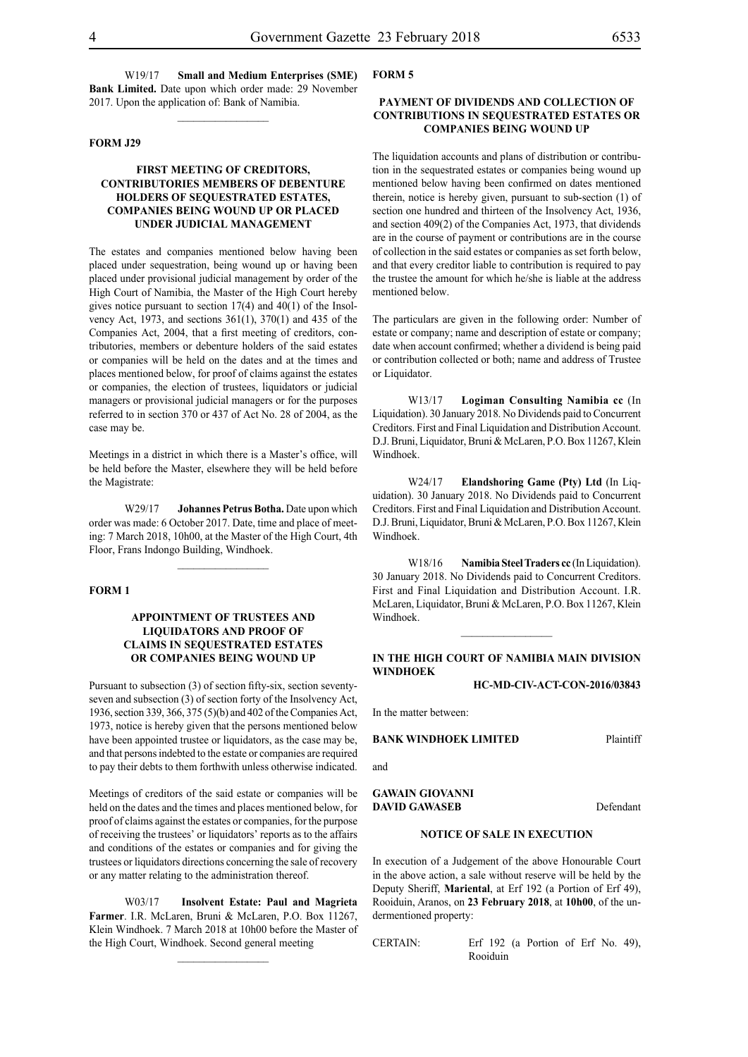W19/17 **Small and Medium Enterprises (SME) Bank Limited.** Date upon which order made: 29 November 2017. Upon the application of: Bank of Namibia.

 $\frac{1}{2}$ 

#### **FORM J29**

### **FIRST MEETING OF CREDITORS, CONTRIBUTORIES MEMBERS OF DEBENTURE HOLDERS OF SEQUESTRATED ESTATES, COMPANIES BEING WOUND UP OR PLACED UNDER JUDICIAL MANAGEMENT**

The estates and companies mentioned below having been placed under sequestration, being wound up or having been placed under provisional judicial management by order of the High Court of Namibia, the Master of the High Court hereby gives notice pursuant to section 17(4) and 40(1) of the Insolvency Act, 1973, and sections 361(1), 370(1) and 435 of the Companies Act, 2004, that a first meeting of creditors, contributories, members or debenture holders of the said estates or companies will be held on the dates and at the times and places mentioned below, for proof of claims against the estates or companies, the election of trustees, liquidators or judicial managers or provisional judicial managers or for the purposes referred to in section 370 or 437 of Act No. 28 of 2004, as the case may be.

Meetings in a district in which there is a Master's office, will be held before the Master, elsewhere they will be held before the Magistrate:

W29/17 **Johannes Petrus Botha.** Date upon which order was made: 6 October 2017. Date, time and place of meeting: 7 March 2018, 10h00, at the Master of the High Court, 4th Floor, Frans Indongo Building, Windhoek.

#### **FORM 1**

# **APPOINTMENT OF TRUSTEES AND LIQUIDATORS AND PROOF OF CLAIMS IN SEQUESTRATED ESTATES OR COMPANIES BEING WOUND UP**

Pursuant to subsection (3) of section fifty-six, section seventyseven and subsection (3) of section forty of the Insolvency Act, 1936, section 339, 366, 375 (5)(b) and 402 of the Companies Act, 1973, notice is hereby given that the persons mentioned below have been appointed trustee or liquidators, as the case may be, and that persons indebted to the estate or companies are required to pay their debts to them forthwith unless otherwise indicated.

Meetings of creditors of the said estate or companies will be held on the dates and the times and places mentioned below, for proof of claims against the estates or companies, for the purpose of receiving the trustees' or liquidators' reports as to the affairs and conditions of the estates or companies and for giving the trustees or liquidators directions concerning the sale of recovery or any matter relating to the administration thereof.

W03/17 **Insolvent Estate: Paul and Magrieta Farmer**. I.R. McLaren, Bruni & McLaren, P.O. Box 11267, Klein Windhoek. 7 March 2018 at 10h00 before the Master of the High Court, Windhoek. Second general meeting

 $\frac{1}{2}$ 

#### **FORM 5**

### **PAYMENT OF DIVIDENDS AND COLLECTION OF CONTRIBUTIONS IN SEQUESTRATED ESTATES OR COMPANIES BEING WOUND UP**

The liquidation accounts and plans of distribution or contribution in the sequestrated estates or companies being wound up mentioned below having been confirmed on dates mentioned therein, notice is hereby given, pursuant to sub-section (1) of section one hundred and thirteen of the Insolvency Act, 1936, and section 409(2) of the Companies Act, 1973, that dividends are in the course of payment or contributions are in the course of collection in the said estates or companies as set forth below, and that every creditor liable to contribution is required to pay the trustee the amount for which he/she is liable at the address mentioned below.

The particulars are given in the following order: Number of estate or company; name and description of estate or company; date when account confirmed; whether a dividend is being paid or contribution collected or both; name and address of Trustee or Liquidator.

W13/17 **Logiman Consulting Namibia cc** (In Liquidation). 30 January 2018. No Dividends paid to Concurrent Creditors. First and Final Liquidation and Distribution Account. D.J. Bruni, Liquidator, Bruni & McLaren, P.O. Box 11267, Klein Windhoek.

W24/17 **Elandshoring Game (Pty) Ltd** (In Liquidation). 30 January 2018. No Dividends paid to Concurrent Creditors. First and Final Liquidation and Distribution Account. D.J. Bruni, Liquidator, Bruni & McLaren, P.O. Box 11267, Klein Windhoek.

W18/16 **Namibia Steel Traders cc** (In Liquidation). 30 January 2018. No Dividends paid to Concurrent Creditors. First and Final Liquidation and Distribution Account. I.R. McLaren, Liquidator, Bruni & McLaren, P.O. Box 11267, Klein Windhoek.

# **IN THE HIGH COURT OF NAMIBIA MAIN DIVISION WINDHOEK**

 $\frac{1}{2}$ 

**HC-MD-CIV-ACT-CON-2016/03843**

In the matter between:

# **BANK WINDHOEK LIMITED** Plaintiff

and

**GAWAIN GIOVANNI** 

**DAVID GAWASEB** Defendant

#### **NOTICE OF SALE IN EXECUTION**

In execution of a Judgement of the above Honourable Court in the above action, a sale without reserve will be held by the Deputy Sheriff, **Mariental**, at Erf 192 (a Portion of Erf 49), Rooiduin, Aranos, on **23 February 2018**, at **10h00**, of the undermentioned property:

CERTAIN: Erf 192 (a Portion of Erf No. 49), Rooiduin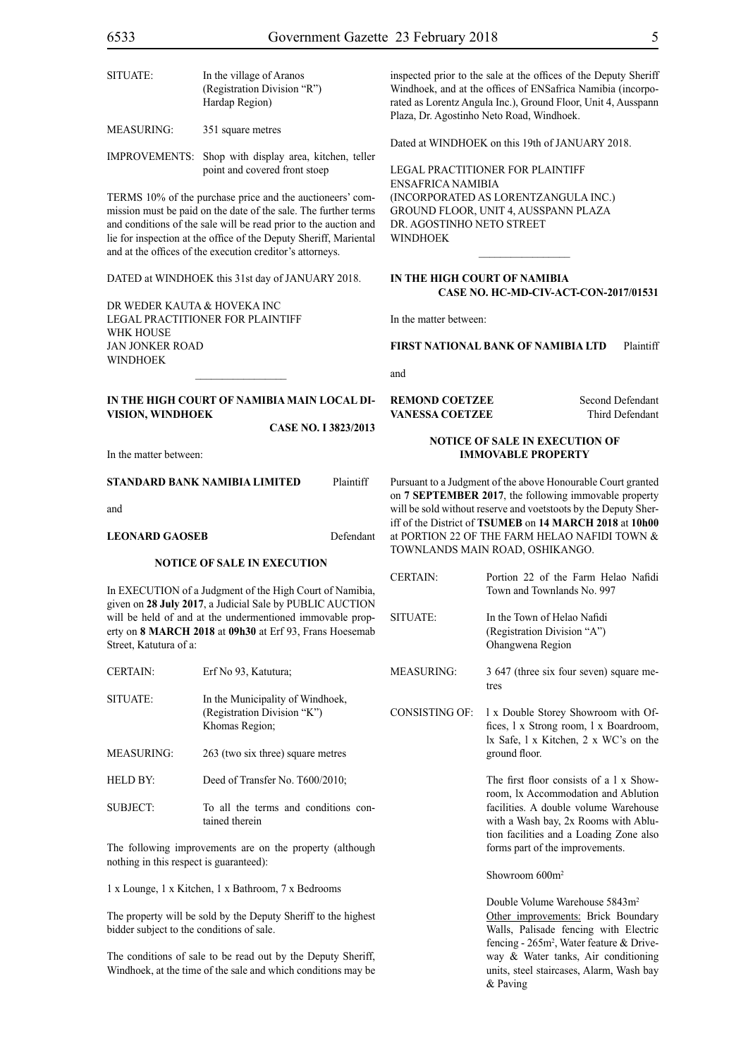| SITUATE:          | In the village of Aranos<br>(Registration Division "R")<br>Hardap Region)              |  |
|-------------------|----------------------------------------------------------------------------------------|--|
| <b>MEASURING:</b> | 351 square metres                                                                      |  |
|                   | IMPROVEMENTS: Shop with display area, kitchen, teller<br>point and covered front stoep |  |

TERMS 10% of the purchase price and the auctioneers' commission must be paid on the date of the sale. The further terms and conditions of the sale will be read prior to the auction and lie for inspection at the office of the Deputy Sheriff, Mariental and at the offices of the execution creditor's attorneys.

DATED at WINDHOEK this 31st day of JANUARY 2018.

DR WEDER KAUTA & HOVEKA INC Legal Practitioner for Plaintiff WHK HOUSE Jan Jonker Road **WINDHOFK** 

# **IN THE HIGH COURT OF NAMIBIA MAIN LOCAL DI-VISION, WINDHOEK**

 $\frac{1}{2}$ 

**Case NO. I 3823/2013**

In the matter between:

#### **STANDARD BANK NAMIBIA LIMITED** Plaintiff

and

#### LEONARD GAOSEB Defendant

#### **NOTICE OF SALE IN EXECUTION**

In EXECUTION of a Judgment of the High Court of Namibia, given on **28 July 2017**, a Judicial Sale by PUBLIC AUCTION will be held of and at the undermentioned immovable property on **8 MARCH 2018** at **09h30** at Erf 93, Frans Hoesemab Street, Katutura of a:

| CLIMIN.         | 111 130 <i>75</i> , <b>Rutura</b> ,                                               |
|-----------------|-----------------------------------------------------------------------------------|
| SITUATE:        | In the Municipality of Windhoek,<br>(Registration Division "K")<br>Khomas Region; |
| MEASURING:      | 263 (two six three) square metres                                                 |
| HELD BY:        | Deed of Transfer No. T600/2010;                                                   |
| <b>SUBJECT:</b> | To all the terms and conditions con-<br>tained therein                            |

 $CFDTAIN:$  Erf No. 03, Katutura;

The following improvements are on the property (although nothing in this respect is guaranteed):

1 x Lounge, 1 x Kitchen, 1 x Bathroom, 7 x Bedrooms

The property will be sold by the Deputy Sheriff to the highest bidder subject to the conditions of sale.

The conditions of sale to be read out by the Deputy Sheriff, Windhoek, at the time of the sale and which conditions may be

inspected prior to the sale at the offices of the Deputy Sheriff Windhoek, and at the offices of ENSafrica Namibia (incorporated as Lorentz Angula Inc.), Ground Floor, Unit 4, Ausspann Plaza, Dr. Agostinho Neto Road, Windhoek.

Dated at WINDHOEK on this 19th of JANUARY 2018.

Legal Practitioner for Plaintiff ENSafrica Namibia (incorporated as LorentzAngula Inc.) Ground Floor, Unit 4, Ausspann Plaza Dr. Agostinho Neto Street WINDHOEK

#### **IN THE HIGH COURT OF NAMIBIA CASE No. HC-MD-CIV-ACT-CON-2017/01531**

 $\overline{\phantom{a}}$  ,  $\overline{\phantom{a}}$  ,  $\overline{\phantom{a}}$  ,  $\overline{\phantom{a}}$  ,  $\overline{\phantom{a}}$  ,  $\overline{\phantom{a}}$  ,  $\overline{\phantom{a}}$  ,  $\overline{\phantom{a}}$  ,  $\overline{\phantom{a}}$  ,  $\overline{\phantom{a}}$  ,  $\overline{\phantom{a}}$  ,  $\overline{\phantom{a}}$  ,  $\overline{\phantom{a}}$  ,  $\overline{\phantom{a}}$  ,  $\overline{\phantom{a}}$  ,  $\overline{\phantom{a}}$ 

In the matter between:

**FIRST NATIONAL BANK OF NAMIBIA LTD** Plaintiff

and

**REMOND COETZEE** Second Defendant **VANESSA COETZEE** Third Defendant

#### **NOTICE OF SALE IN EXECUTION OF IMMOVABLE PROPERTY**

Pursuant to a Judgment of the above Honourable Court granted on **7 SEPTEMBER 2017**, the following immovable property will be sold without reserve and voetstoots by the Deputy Sheriff of the District of **TSUMEB** on **14 MARCH 2018** at **10h00** at PORTION 22 OF THE FARM HELAO NAFIDI TOWN & TOWNLANDS MAIN ROAD, OSHIKANGO.

| CERTAIN:        | Portion 22 of the Farm Helao Nafidi<br>Town and Townlands No. 997              |
|-----------------|--------------------------------------------------------------------------------|
| <b>SITUATE:</b> | In the Town of Helao Nafidi<br>(Registration Division "A")<br>Ohangwena Region |
| MEASURING:      | 3 647 (three six four seven) square me-<br>tres                                |

CONSISTING OF: l x Double Storey Showroom with Offices, l x Strong room, l x Boardroom, lx Safe, l x Kitchen, 2 x WC's on the ground floor.

> The first floor consists of a l x Showroom, lx Accommodation and Ablution facilities. A double volume Warehouse with a Wash bay, 2x Rooms with Ablution facilities and a Loading Zone also forms part of the improvements.

Showroom 600m<sup>2</sup>

Double Volume Warehouse 5843m2 Other improvements: Brick Boundary Walls, Palisade fencing with Electric fencing - 265m2 , Water feature & Driveway & Water tanks, Air conditioning units, steel staircases, Alarm, Wash bay & Paving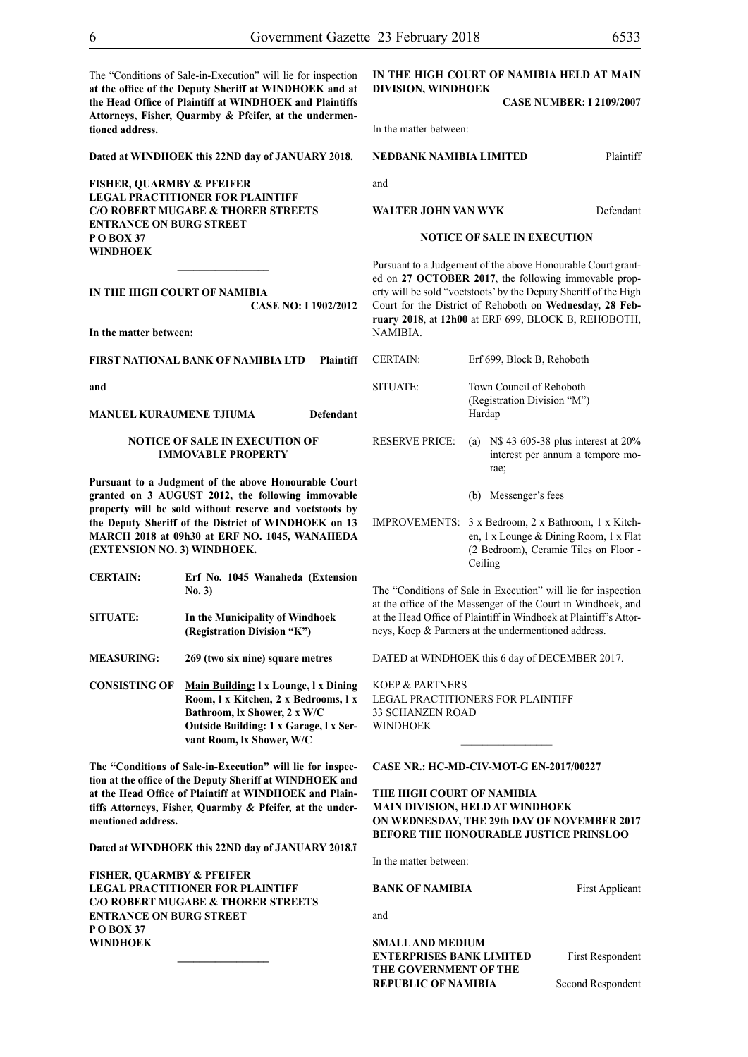The "Conditions of Sale-in-Execution" will lie for inspection **at the office of the Deputy Sheriff at WINDHOEK and at the Head Office of Plaintiff at WINDHOEK and Plaintiffs Attorneys, Fisher, Quarmby & Pfeifer, at the undermentioned address.**

**Dated at WINDHOEK this 22ND day of JANUARY 2018.**

**FISHER, QUARMBY & PFEIFER LEGAL PRACTITIONER FOR Plaintiff c/o Robert Mugabe & Thorer Streets entrance on Burg Street P O Box 37 WINDHOEK**

**IN THE HIGH COURT OF NAMIBIA CASE NO: I 1902/2012**

**In the matter between:**

**FIRST NATIONAL BANK OF NAMIBIA LTD Plaintiff**

**and**

#### **MANUEL KURAUMENE TJIUMA Defendant**

#### **NOTICE OF SALE IN EXECUTION OF IMMOVABLE PROPERTY**

**Pursuant to a Judgment of the above Honourable Court granted on 3 AUGUST 2012, the following immovable property will be sold without reserve and voetstoots by the Deputy Sheriff of the District of WINDHOEK on 13 MARCH 2018 at 09h30 at ERF NO. 1045, WANAHEDA (EXTENSION NO. 3) WINDHOEK.**

| <b>CERTAIN:</b>      | Erf No. 1045 Wanaheda (Extension<br>No. 3)                     |
|----------------------|----------------------------------------------------------------|
| <b>SITUATE:</b>      | In the Municipality of Windhoek<br>(Registration Division "K") |
| <b>MEASURING:</b>    | 269 (two six nine) square metres                               |
| <b>CONSISTING OF</b> | Main Building: 1 x Lounge, 1 x Dining                          |

**Room, l x Kitchen, 2 x Bedrooms, l x Bathroom, lx Shower, 2 x W/C Outside Building: 1 x Garage, l x Servant Room, lx Shower, W/C**

**The "Conditions of Sale-in-Execution" will lie for inspection at the office of the Deputy Sheriff at WINDHOEK and at the Head Office of Plaintiff at WINDHOEK and Plaintiffs Attorneys, Fisher, Quarmby & Pfeifer, at the undermentioned address.**

**Dated at WINDHOEK this 22ND day of JANUARY 2018.ï**

**\_\_\_\_\_\_\_\_\_\_\_\_\_\_\_\_\_**

**FISHER, QUARMBY & PFEIFER LEGAL PRACTITIONER FOR Plaintiff c/o Robert Mugabe & Thorer Streets entrance on Burg Street P O Box 37 WINDHOEK**

# **DIVISION, WINDHOEK**

**CASE NUMBER: I 2109/2007**

In the matter between:

#### **NEDBANK NAMIBIA LIMITED** Plaintiff

and

#### **WALTER JOHN VAN WYK** Defendant

#### **NOTICE OF SALE IN EXECUTION**

Pursuant to a Judgement of the above Honourable Court granted on **27 OCTOBER 2017**, the following immovable property will be sold "voetstoots' by the Deputy Sheriff of the High Court for the District of Rehoboth on **Wednesday, 28 February 2018**, at **12h00** at ERF 699, BLOCK B, REHOBOTH, NAMIBIA.

- CERTAIN: Erf 699, Block B, Rehoboth SITUATE: Town Council of Rehoboth (Registration Division "M") Hardap RESERVE PRICE: (a) N\$ 43 605-38 plus interest at 20%
	- interest per annum a tempore morae;
		- (b) Messenger's fees
- IMPROVEMENTS: 3 x Bedroom, 2 x Bathroom, 1 x Kitchen, 1 x Lounge & Dining Room, 1 x Flat (2 Bedroom), Ceramic Tiles on Floor - Ceiling

The "Conditions of Sale in Execution" will lie for inspection at the office of the Messenger of the Court in Windhoek, and at the Head Office of Plaintiff in Windhoek at Plaintiff's Attorneys, Koep & Partners at the undermentioned address.

DATED at WINDHOEK this 6 day of DECEMBER 2017.

KOEP & PARTNERS LEGAL PRACTITIONERS FOR Plaintiff 33 SCHANZEN ROAD WINDHOEK

#### **CASE NR.: HC-MD-CIV-MOT-G EN-2017/00227**

# **THE HIGH COURT OF NAMIBIA MAIN DIVISION, HELD AT WINDHOEK ON WEDNESDAY, THE 29th DAY OF NOVEMBER 2017 BEFORE THE HONOURABLE JUSTICE PRINSLOO**

In the matter between:

#### **BANK OF NAMIBIA** First Applicant

and

**SMALL AND MEDIUM ENTERPRISES BANK LIMITED** First Respondent **THE GOVERNMENT OF THE REPUBLIC OF NAMIBIA** Second Respondent

# **IN THE HIGH COURT OF NAMIBIA HELD AT MAIN**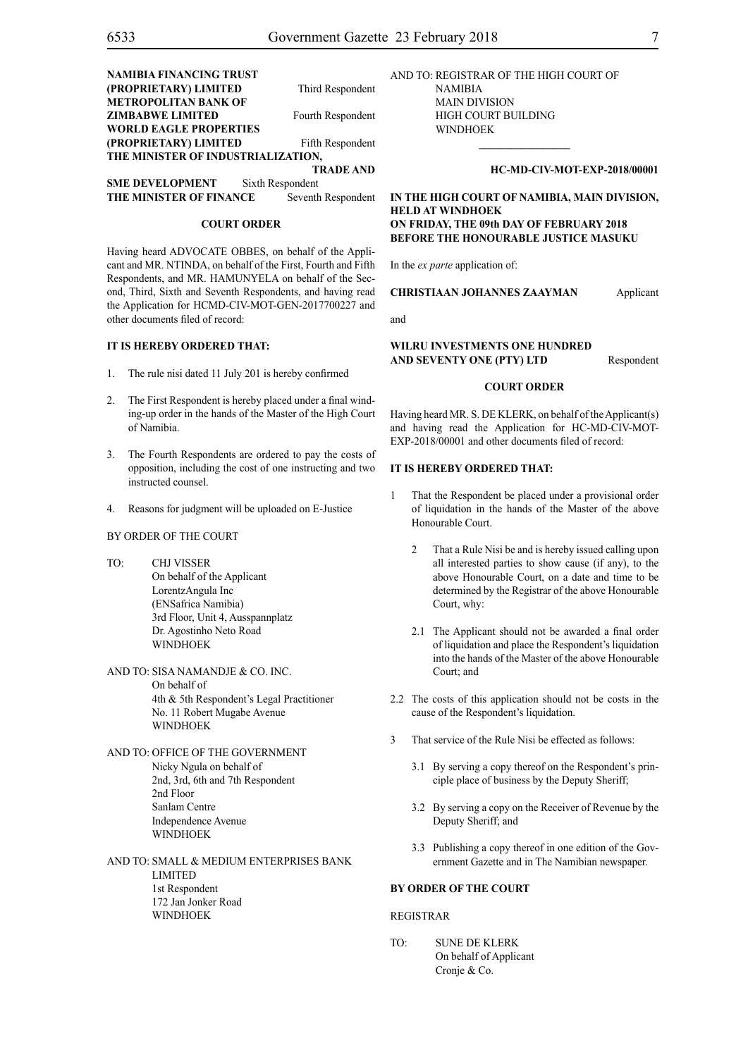| <b>NAMIBIA FINANCING TRUST</b>     |                   |
|------------------------------------|-------------------|
| (PROPRIETARY) LIMITED              | Third Respondent  |
| <b>METROPOLITAN BANK OF</b>        |                   |
| <b>ZIMBABWE LIMITED</b>            | Fourth Respondent |
| <b>WORLD EAGLE PROPERTIES</b>      |                   |
| (PROPRIETARY) LIMITED              | Fifth Respondent  |
| THE MINISTER OF INDUSTRIALIZATION, |                   |
|                                    | <b>TRADE AND</b>  |

**SME DEVELOPMENT** Sixth Respondent **THE MINISTER OF FINANCE** Seventh Respondent

#### **COURT ORDER**

Having heard ADVOCATE OBBES, on behalf of the Applicant and MR. NTINDA, on behalf of the First, Fourth and Fifth Respondents, and MR. HAMUNYELA on behalf of the Second, Third, Sixth and Seventh Respondents, and having read the Application for HCMD-CIV-MOT-GEN-2017700227 and other documents filed of record:

#### **IT IS HEREBY ORDERED THAT:**

- 1. The rule nisi dated 11 July 201 is hereby confirmed
- 2. The First Respondent is hereby placed under a final winding-up order in the hands of the Master of the High Court of Namibia.
- 3. The Fourth Respondents are ordered to pay the costs of opposition, including the cost of one instructing and two instructed counsel.
- 4. Reasons for judgment will be uploaded on E-Justice

#### BY ORDER OF THE COURT

- TO: CHJ VISSER On behalf of the Applicant LorentzAngula Inc (ENSafrica Namibia) 3rd Floor, Unit 4, Ausspannplatz Dr. Agostinho Neto Road WINDHOEK
- AND TO: SISA NAMANDJE & CO. INC. On behalf of 4th & 5th Respondent's Legal Practitioner No. 11 Robert Mugabe Avenue WINDHOEK
- AND TO: OFFICE OF THE GOVERNMENT Nicky Ngula on behalf of 2nd, 3rd, 6th and 7th Respondent 2nd Floor Sanlam Centre Independence Avenue **WINDHOEK**
- AND TO: SMALL & MEDIUM ENTERPRISES BANK LIMITED 1st Respondent 172 Jan Jonker Road WINDHOEK

AND TO: REGISTRAR OF THE HIGH COURT OF NAMIBIA MAIN DIVISION HIGH COURT BUILDING

# **HC-MD-CIV-MOT-EXP-2018/00001**

**IN THE HIGH COURT OF NAMIBIA, MAIN DIVISION, HELD AT WINDHOEK ON FRIDAY, THE 09th DAY OF FEBRUARY 2018 BEFORE THE HONOURABLE JUSTICE MASUKU**

**\_\_\_\_\_\_\_\_\_\_\_\_\_\_\_\_\_**

In the *ex parte* application of:

WINDHOEK

#### **CHRISTIAAN JOHANNES ZAAYMAN** Applicant

and

#### **WILRU INVESTMENTS ONE HUNDRED AND SEVENTY ONE (PTY) LTD** Respondent

#### **COURT ORDER**

Having heard MR. S. DE KLERK, on behalf of the Applicant(s) and having read the Application for HC-MD-CIV-MOT-EXP-2018/00001 and other documents filed of record:

#### **IT IS HEREBY ORDERED THAT:**

- 1 That the Respondent be placed under a provisional order of liquidation in the hands of the Master of the above Honourable Court.
	- 2 That a Rule Nisi be and is hereby issued calling upon all interested parties to show cause (if any), to the above Honourable Court, on a date and time to be determined by the Registrar of the above Honourable Court, why:
	- 2.1 The Applicant should not be awarded a final order of liquidation and place the Respondent's liquidation into the hands of the Master of the above Honourable Court; and
- 2.2 The costs of this application should not be costs in the cause of the Respondent's liquidation.
- 3 That service of the Rule Nisi be effected as follows:
	- 3.1 By serving a copy thereof on the Respondent's principle place of business by the Deputy Sheriff;
	- 3.2 By serving a copy on the Receiver of Revenue by the Deputy Sheriff; and
	- 3.3 Publishing a copy thereof in one edition of the Government Gazette and in The Namibian newspaper.

### **BY ORDER OF THE COURT**

#### REGISTRAR

TO: SUNE DE KLERK On behalf of Applicant Cronje & Co.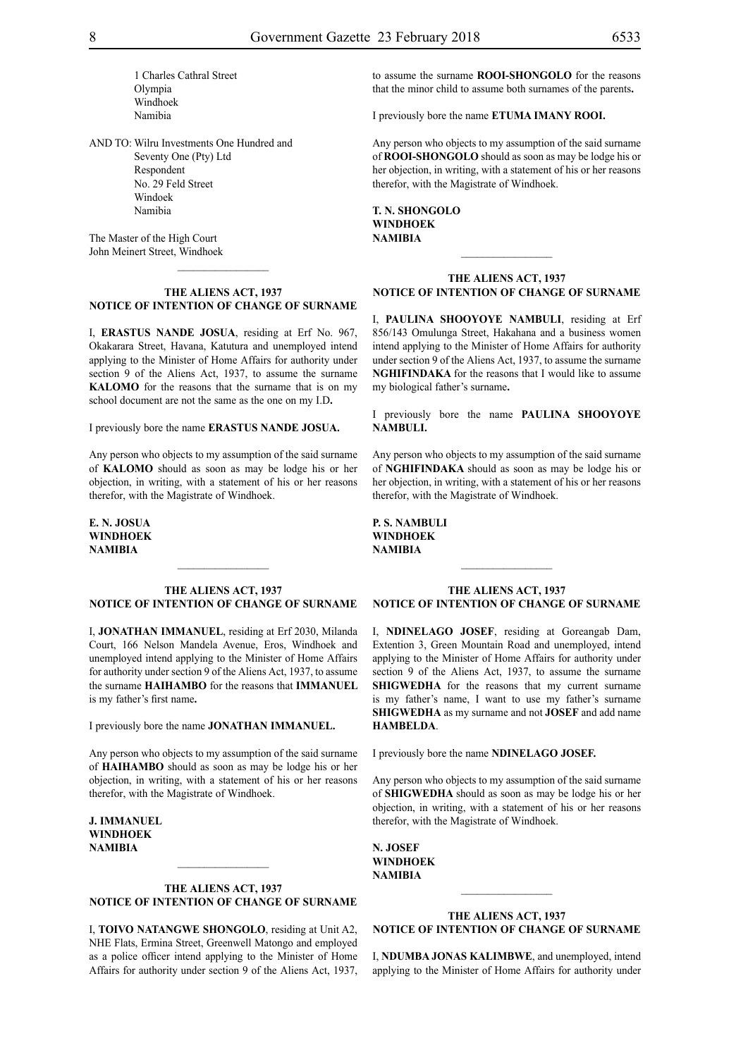1 Charles Cathral Street Olympia Windhoek Namibia

AND TO: Wilru Investments One Hundred and Seventy One (Pty) Ltd Respondent No. 29 Feld Street Windoek Namibia

The Master of the High Court John Meinert Street, Windhoek

#### **THE ALIENS ACT, 1937 NOTICE OF INTENTION OF CHANGE OF SURNAME**

I, **erastus nande josua**, residing at Erf No. 967, Okakarara Street, Havana, Katutura and unemployed intend applying to the Minister of Home Affairs for authority under section 9 of the Aliens Act, 1937, to assume the surname **kalomo** for the reasons that the surname that is on my school document are not the same as the one on my I.D**.**

I previously bore the name **erastus nande josua.**

Any person who objects to my assumption of the said surname of **kalomo** should as soon as may be lodge his or her objection, in writing, with a statement of his or her reasons therefor, with the Magistrate of Windhoek.

**e. n. josua Windhoek NAMIBIA**

#### **THE ALIENS ACT, 1937 NOTICE OF INTENTION OF CHANGE OF SURNAME**

I, **jonathan immanuel**, residing at Erf 2030, Milanda Court, 166 Nelson Mandela Avenue, Eros, Windhoek and unemployed intend applying to the Minister of Home Affairs for authority under section 9 of the Aliens Act, 1937, to assume the surname **HAIHAMBO** for the reasons that **IMMANUEL** is my father's first name**.**

I previously bore the name **jonathan immanuel.**

Any person who objects to my assumption of the said surname of **haihambo** should as soon as may be lodge his or her objection, in writing, with a statement of his or her reasons therefor, with the Magistrate of Windhoek.

**j. immanuel Windhoek NAMIBIA**

# **THE ALIENS ACT, 1937 NOTICE OF INTENTION OF CHANGE OF SURNAME**

I, **toivo natangwe shongolo**, residing at Unit A2, NHE Flats, Ermina Street, Greenwell Matongo and employed as a police officer intend applying to the Minister of Home Affairs for authority under section 9 of the Aliens Act, 1937, to assume the surname **rooi-shongolo** for the reasons that the minor child to assume both surnames of the parents**.**

I previously bore the name **ETUMA IMANY ROOI.** 

Any person who objects to my assumption of the said surname of **rooi-shongolo** should as soon as may be lodge his or her objection, in writing, with a statement of his or her reasons therefor, with the Magistrate of Windhoek.

**t. n. shongolo Windhoek NAMIBIA**

#### **THE ALIENS ACT, 1937 NOTICE OF INTENTION OF CHANGE OF SURNAME**

 $\overline{\phantom{a}}$  , where  $\overline{\phantom{a}}$ 

I, **paulina shooYoye nambuli**, residing at Erf 856/143 Omulunga Street, Hakahana and a business women intend applying to the Minister of Home Affairs for authority under section 9 of the Aliens Act, 1937, to assume the surname **NGHIFINDAKA** for the reasons that I would like to assume my biological father's surname**.**

I previously bore the name **paulina shooYoye nambuli.**

Any person who objects to my assumption of the said surname of **nghifindaka** should as soon as may be lodge his or her objection, in writing, with a statement of his or her reasons therefor, with the Magistrate of Windhoek.

#### **THE ALIENS ACT, 1937 NOTICE OF INTENTION OF CHANGE OF SURNAME**

I, **NDINELAGO JOSEF**, residing at Goreangab Dam, Extention 3, Green Mountain Road and unemployed, intend applying to the Minister of Home Affairs for authority under section 9 of the Aliens Act, 1937, to assume the surname **SHIGWEDHA** for the reasons that my current surname is my father's name, I want to use my father's surname **SHIGWEDHA** as my surname and not **JOSEF** and add name **HAMBELDA**.

I previously bore the name **NDINELAGO JOSEF.** 

Any person who objects to my assumption of the said surname of **shigwedha** should as soon as may be lodge his or her objection, in writing, with a statement of his or her reasons therefor, with the Magistrate of Windhoek.

**n. josef windhoek NAMIBIA**

## **THE ALIENS ACT, 1937 NOTICE OF INTENTION OF CHANGE OF SURNAME**

 $\frac{1}{2}$ 

I, **NDUMBA JONAS KALIMBWE**, and unemployed, intend applying to the Minister of Home Affairs for authority under

# **p. s. nambuli Windhoek NAMIBIA**